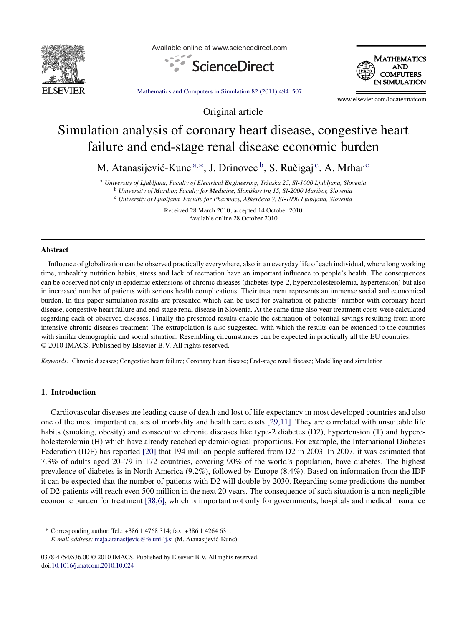

Available online at www.sciencedirect.com





[Mathematics](dx.doi.org/10.1016/j.matcom.2010.10.024) and Computers in Simulation 82 (2011) 494–507

Original article

www.elsevier.com/locate/matcom

# Simulation analysis of coronary heart disease, congestive heart failure and end-stage renal disease economic burden

M. Atanasijević-Kunc  $a,*,$  J. Drinovec  $\overline{b}$ , S. Ručigaj  $\overline{c}$ , A. Mrhar  $\overline{c}$ 

<sup>a</sup> *University of Ljubljana, Faculty of Electrical Engineering, Trˇzaska 25, SI-1000 Ljubljana, Slovenia*

<sup>b</sup> *University of Maribor, Faculty for Medicine, Slomˇskov trg 15, SI-2000 Maribor, Slovenia*

<sup>c</sup> *University of Ljubljana, Faculty for Pharmacy, Aˇskerˇceva 7, SI-1000 Ljubljana, Slovenia*

Received 28 March 2010; accepted 14 October 2010 Available online 28 October 2010

### **Abstract**

Influence of globalization can be observed practically everywhere, also in an everyday life of each individual, where long working time, unhealthy nutrition habits, stress and lack of recreation have an important influence to people's health. The consequences can be observed not only in epidemic extensions of chronic diseases (diabetes type-2, hypercholesterolemia, hypertension) but also in increased number of patients with serious health complications. Their treatment represents an immense social and economical burden. In this paper simulation results are presented which can be used for evaluation of patients' number with coronary heart disease, congestive heart failure and end-stage renal disease in Slovenia. At the same time also year treatment costs were calculated regarding each of observed diseases. Finally the presented results enable the estimation of potential savings resulting from more intensive chronic diseases treatment. The extrapolation is also suggested, with which the results can be extended to the countries with similar demographic and social situation. Resembling circumstances can be expected in practically all the EU countries. © 2010 IMACS. Published by Elsevier B.V. All rights reserved.

*Keywords:* Chronic diseases; Congestive heart failure; Coronary heart disease; End-stage renal disease; Modelling and simulation

## **1. Introduction**

Cardiovascular diseases are leading cause of death and lost of life expectancy in most developed countries and also one of the most important causes of morbidity and health care costs [\[29,11\].](#page--1-0) They are correlated with unsuitable life habits (smoking, obesity) and consecutive chronic diseases like type-2 diabetes (D2), hypertension (T) and hypercholesterolemia (H) which have already reached epidemiological proportions. For example, the International Diabetes Federation (IDF) has reported [\[20\]](#page--1-0) that 194 million people suffered from D2 in 2003. In 2007, it was estimated that 7.3% of adults aged 20–79 in 172 countries, covering 90% of the world's population, have diabetes. The highest prevalence of diabetes is in North America (9.2%), followed by Europe (8.4%). Based on information from the IDF it can be expected that the number of patients with D2 will double by 2030. Regarding some predictions the number of D2-patients will reach even 500 million in the next 20 years. The consequence of such situation is a non-negligible economic burden for treatment [\[38,6\],](#page--1-0) which is important not only for governments, hospitals and medical insurance

<sup>∗</sup> Corresponding author. Tel.: +386 1 4768 314; fax: +386 1 4264 631.

*E-mail address:* [maja.atanasijevic@fe.uni-lj.si](mailto:maja.atanasijevic@fe.uni-lj.si) (M. Atanasijevic-Kunc). ´

<sup>0378-4754/\$36.00</sup> © 2010 IMACS. Published by Elsevier B.V. All rights reserved. doi[:10.1016/j.matcom.2010.10.024](dx.doi.org/10.1016/j.matcom.2010.10.024)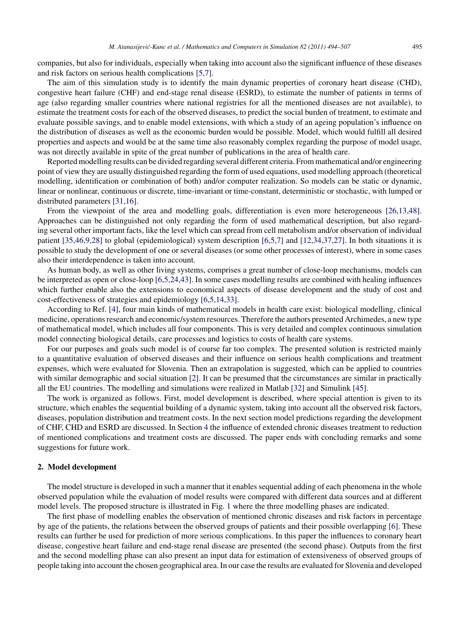companies, but also for individuals, especially when taking into account also the significant influence of these diseases and risk factors on serious health complications [\[5,7\].](#page--1-0)

The aim of this simulation study is to identify the main dynamic properties of coronary heart disease (CHD), congestive heart failure (CHF) and end-stage renal disease (ESRD), to estimate the number of patients in terms of age (also regarding smaller countries where national registries for all the mentioned diseases are not available), to estimate the treatment costs for each of the observed diseases, to predict the social burden of treatment, to estimate and evaluate possible savings, and to enable model extensions, with which a study of an ageing population's influence on the distribution of diseases as well as the economic burden would be possible. Model, which would fulfill all desired properties and aspects and would be at the same time also reasonably complex regarding the purpose of model usage, was not directly available in spite of the great number of publications in the area of health care.

Reported modelling results can be divided regarding several different criteria. From mathematical and/or engineering point of view they are usually distinguished regarding the form of used equations, used modelling approach (theoretical modelling, identification or combination of both) and/or computer realization. So models can be static or dynamic, linear or nonlinear, continuous or discrete, time-invariant or time-constant, deterministic or stochastic, with lumped or distributed parameters [\[31,16\].](#page--1-0)

From the viewpoint of the area and modelling goals, differentiation is even more heterogeneous [\[26,13,48\].](#page--1-0) Approaches can be distinguished not only regarding the form of used mathematical description, but also regarding several other important facts, like the level which can spread from cell metabolism and/or observation of individual patient [\[35,46,9,28\]](#page--1-0) to global (epidemiological) system description [\[6,5,7\]](#page--1-0) and [\[12,34,37,27\].](#page--1-0) In both situations it is possible to study the development of one or several diseases (or some other processes of interest), where in some cases also their interdependence is taken into account.

As human body, as well as other living systems, comprises a great number of close-loop mechanisms, models can be interpreted as open or close-loop [\[6,5,24,43\].](#page--1-0) In some cases modelling results are combined with healing influences which further enable also the extensions to economical aspects of disease development and the study of cost and cost-effectiveness of strategies and epidemiology [\[6,5,14,33\].](#page--1-0)

According to Ref. [\[4\],](#page--1-0) four main kinds of mathematical models in health care exist: biological modelling, clinical medicine, operations research and economic/system resources. Therefore the authors presented Archimedes, a new type of mathematical model, which includes all four components. This is very detailed and complex continuous simulation model connecting biological details, care processes and logistics to costs of health care systems.

For our purposes and goals such model is of course far too complex. The presented solution is restricted mainly to a quantitative evaluation of observed diseases and their influence on serious health complications and treatment expenses, which were evaluated for Slovenia. Then an extrapolation is suggested, which can be applied to countries with similar demographic and social situation [\[2\].](#page--1-0) It can be presumed that the circumstances are similar in practically all the EU countries. The modelling and simulations were realized in Matlab [\[32\]](#page--1-0) and Simulink [\[45\].](#page--1-0)

The work is organized as follows. First, model development is described, where special attention is given to its structure, which enables the sequential building of a dynamic system, taking into account all the observed risk factors, diseases, population distribution and treatment costs. In the next section model predictions regarding the development of CHF, CHD and ESRD are discussed. In Section [4](#page--1-0) the influence of extended chronic diseases treatment to reduction of mentioned complications and treatment costs are discussed. The paper ends with concluding remarks and some suggestions for future work.

#### **2. Model development**

The model structure is developed in such a manner that it enables sequential adding of each phenomena in the whole observed population while the evaluation of model results were compared with different data sources and at different model levels. The proposed structure is illustrated in Fig. [1](#page--1-0) where the three modelling phases are indicated.

The first phase of modelling enables the observation of mentioned chronic diseases and risk factors in percentage by age of the patients, the relations between the observed groups of patients and their possible overlapping [\[6\].](#page--1-0) These results can further be used for prediction of more serious complications. In this paper the influences to coronary heart disease, congestive heart failure and end-stage renal disease are presented (the second phase). Outputs from the first and the second modelling phase can also present an input data for estimation of extensiveness of observed groups of people taking into account the chosen geographical area. In our case the results are evaluated for Slovenia and developed